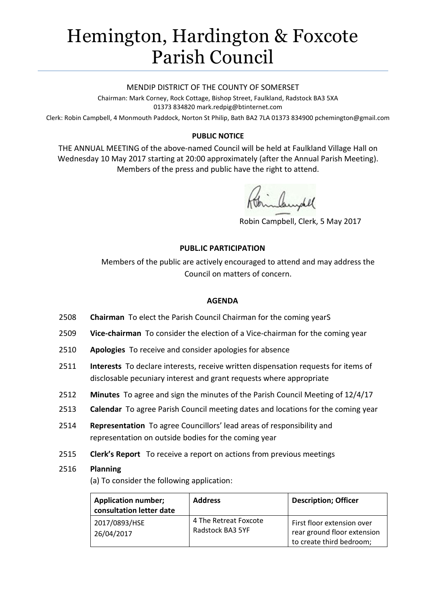# Hemington, Hardington & Foxcote Parish Council

## MENDIP DISTRICT OF THE COUNTY OF SOMERSET

Chairman: Mark Corney, Rock Cottage, Bishop Street, Faulkland, Radstock BA3 5XA 01373 834820 mark.redpig@btinternet.com

Clerk: Robin Campbell, 4 Monmouth Paddock, Norton St Philip, Bath BA2 7LA 01373 834900 [pchemington@gmail.com](mailto:pchemington@gmail.com)

# **PUBLIC NOTICE**

THE ANNUAL MEETING of the above-named Council will be held at Faulkland Village Hall on Wednesday 10 May 2017 starting at 20:00 approximately (after the Annual Parish Meeting). Members of the press and public have the right to attend.

Campel

Robin Campbell, Clerk, 5 May 2017

# **PUBL.IC PARTICIPATION**

Members of the public are actively encouraged to attend and may address the Council on matters of concern.

## **AGENDA**

- 2508 **Chairman** To elect the Parish Council Chairman for the coming yearS
- 2509 **Vice-chairman** To consider the election of a Vice-chairman for the coming year
- 2510 **Apologies** To receive and consider apologies for absence
- 2511 **Interests** To declare interests, receive written dispensation requests for items of disclosable pecuniary interest and grant requests where appropriate
- 2512 **Minutes** To agree and sign the minutes of the Parish Council Meeting of 12/4/17
- 2513 **Calendar** To agree Parish Council meeting dates and locations for the coming year
- 2514 **Representation** To agree Councillors' lead areas of responsibility and representation on outside bodies for the coming year
- 2515 **Clerk's Report** To receive a report on actions from previous meetings

#### 2516 **Planning**

(a) To consider the following application:

| <b>Application number;</b><br>consultation letter date | <b>Address</b>                            | <b>Description; Officer</b>                                                           |
|--------------------------------------------------------|-------------------------------------------|---------------------------------------------------------------------------------------|
| 2017/0893/HSE<br>26/04/2017                            | 4 The Retreat Foxcote<br>Radstock BA3 5YF | First floor extension over<br>rear ground floor extension<br>to create third bedroom; |